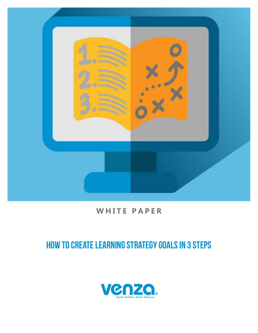

## **WHITE PAPER**

# HOW TO CREATE LEARNING STRATEGY GOALS IN 3 STEPS

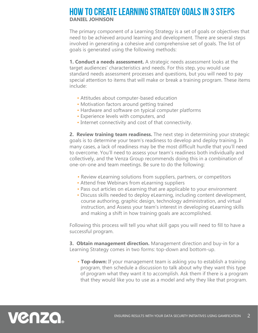### HOW TO CREATE LEARNING STRATEGY GOALS IN 3 STEPS **DANIEL JOHNSON**

The primary component of a Learning Strategy is a set of goals or objectives that need to be achieved around learning and development. There are several steps involved in generating a cohesive and comprehensive set of goals. The list of goals is generated using the following methods:

**1. Conduct a needs assessment.** A strategic needs assessment looks at the target audiences' characteristics and needs. For this step, you would use standard needs assessment processes and questions, but you will need to pay special attention to items that will make or break a training program. These items include:

- Attitudes about computer-based education
- Motivation factors around getting trained
- Hardware and software on typical computer platforms
- Experience levels with computers, and
- Internet connectivity and cost of that connectivity.

**2. Review training team readiness.** The next step in determining your strategic goals is to determine your team's readiness to develop and deploy training. In many cases, a lack of readiness may be the most difficult hurdle that you'll need to overcome. You'll need to assess your team's readiness both individually and collectively, and the Venza Group recommends doing this in a combination of one-on-one and team meetings. Be sure to do the following:

- Review eLearning solutions from suppliers, partners, or competitors
- Attend free Webinars from eLearning suppliers
- Pass out articles on eLearning that are applicable to your environment
- Discuss skills needed to deploy eLearning, including content development, course authoring, graphic design, technology administration, and virtual instruction, and Assess your team's interest in developing eLearning skills and making a shift in how training goals are accomplished.

Following this process will tell you what skill gaps you will need to fill to have a successful program.

**3. Obtain management direction.** Management direction and buy-in for a Learning Strategy comes in two forms: top-down and bottom-up.

• **Top-down:** If your management team is asking you to establish a training program, then schedule a discussion to talk about why they want this type of program what they want it to accomplish. Ask them if there is a program that they would like you to use as a model and why they like that program.